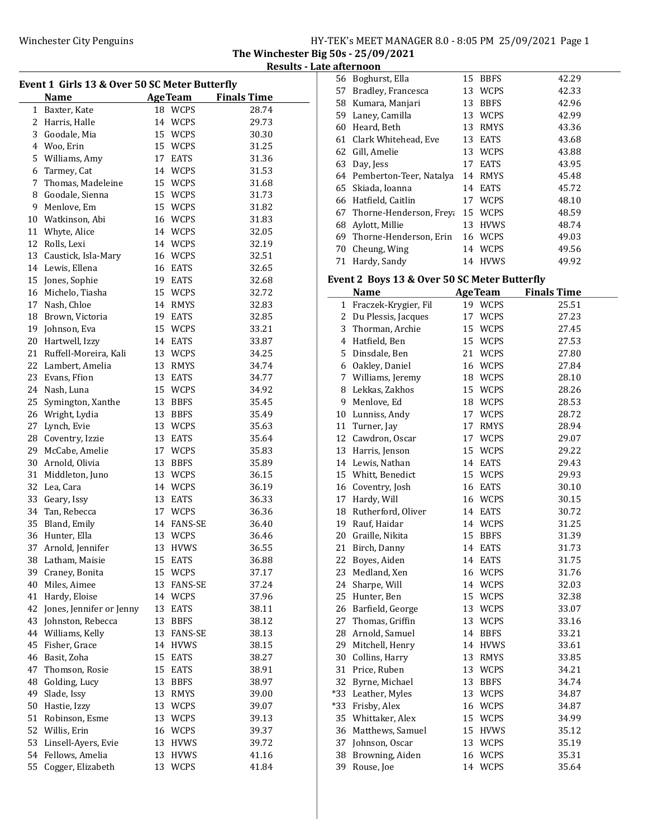56 Boghurst, Ella 15 BBFS 42.29

The Winchester Big 50s - 25/09/2021 Results - Late afternoon

|    |                                               |    |                | งนเเง              |
|----|-----------------------------------------------|----|----------------|--------------------|
|    | Event 1 Girls 13 & Over 50 SC Meter Butterfly |    |                |                    |
|    | <b>Name</b>                                   |    | <b>AgeTeam</b> | <b>Finals Time</b> |
|    | 1 Baxter, Kate                                |    | 18 WCPS        | 28.74              |
|    | 2 Harris, Halle                               |    | 14 WCPS        | 29.73              |
|    | 3 Goodale, Mia                                |    | 15 WCPS        | 30.30              |
|    | 4 Woo, Erin                                   |    | 15 WCPS        | 31.25              |
|    | 5 Williams, Amy                               |    | 17 EATS        | 31.36              |
|    | 6 Tarmey, Cat                                 |    | 14 WCPS        | 31.53              |
|    | 7 Thomas, Madeleine                           |    | 15 WCPS        | 31.68              |
|    | 8 Goodale, Sienna                             |    | 15 WCPS        | 31.73              |
|    | 9 Menlove, Em                                 |    | 15 WCPS        | 31.82              |
|    | 10 Watkinson, Abi                             |    | 16 WCPS        | 31.83              |
|    | 11 Whyte, Alice                               |    | 14 WCPS        | 32.05              |
|    | 12 Rolls, Lexi                                |    | 14 WCPS        | 32.19              |
|    | 13 Caustick, Isla-Mary                        |    | 16 WCPS        | 32.51              |
|    |                                               |    | 16 EATS        | 32.65              |
|    | 14 Lewis, Ellena                              |    | 19 EATS        |                    |
|    | 15 Jones, Sophie                              |    | 15 WCPS        | 32.68              |
|    | 16 Michelo, Tiasha                            |    |                | 32.72              |
|    | 17 Nash, Chloe                                |    | 14 RMYS        | 32.83              |
|    | 18 Brown, Victoria                            |    | 19 EATS        | 32.85              |
|    | 19 Johnson, Eva                               |    | 15 WCPS        | 33.21              |
|    | 20 Hartwell, Izzy                             |    | 14 EATS        | 33.87              |
|    | 21 Ruffell-Moreira, Kali                      |    | 13 WCPS        | 34.25              |
|    | 22 Lambert, Amelia                            |    | 13 RMYS        | 34.74              |
|    | 23 Evans, Ffion                               |    | 13 EATS        | 34.77              |
|    | 24 Nash, Luna                                 |    | 15 WCPS        | 34.92              |
| 25 | Symington, Xanthe                             |    | 13 BBFS        | 35.45              |
| 26 | Wright, Lydia                                 |    | 13 BBFS        | 35.49              |
| 27 | Lynch, Evie                                   |    | 13 WCPS        | 35.63              |
|    | 28 Coventry, Izzie                            |    | 13 EATS        | 35.64              |
|    | 29 McCabe, Amelie                             |    | 17 WCPS        | 35.83              |
|    | 30 Arnold, Olivia                             |    | 13 BBFS        | 35.89              |
|    | 31 Middleton, Juno                            |    | 13 WCPS        | 36.15              |
|    | 32 Lea, Cara                                  |    | 14 WCPS        | 36.19              |
|    | 33 Geary, Issy                                |    | 13 EATS        | 36.33              |
|    | 34 Tan, Rebecca                               |    | 17 WCPS        | 36.36              |
| 35 | Bland, Emily                                  |    | 14 FANS-SE     | 36.40              |
| 36 | Hunter, Ella                                  | 13 | WCPS           | 36.46              |
| 37 | Arnold, Jennifer                              | 13 | <b>HVWS</b>    | 36.55              |
| 38 | Latham, Maisie                                | 15 | EATS           | 36.88              |
| 39 | Craney, Bonita                                |    | 15 WCPS        | 37.17              |
| 40 | Miles, Aimee                                  | 13 | FANS-SE        | 37.24              |
| 41 | Hardy, Eloise                                 |    | 14 WCPS        | 37.96              |
| 42 | Jones, Jennifer or Jenny                      | 13 | EATS           | 38.11              |
| 43 | Johnston, Rebecca                             | 13 | <b>BBFS</b>    | 38.12              |
| 44 | Williams, Kelly                               |    | 13 FANS-SE     | 38.13              |
| 45 | Fisher, Grace                                 | 14 | HVWS           | 38.15              |
| 46 | Basit, Zoha                                   | 15 | EATS           | 38.27              |
| 47 | Thomson, Rosie                                | 15 | EATS           | 38.91              |
| 48 | Golding, Lucy                                 | 13 | <b>BBFS</b>    | 38.97              |
| 49 | Slade, Issy                                   | 13 | RMYS           | 39.00              |
| 50 | Hastie, Izzy                                  | 13 | <b>WCPS</b>    | 39.07              |
| 51 | Robinson, Esme                                | 13 | WCPS           | 39.13              |
| 52 | Willis, Erin                                  |    | 16 WCPS        | 39.37              |
| 53 | Linsell-Ayers, Evie                           | 13 |                | 39.72              |
| 54 | Fellows, Amelia                               |    | <b>HVWS</b>    |                    |
|    |                                               | 13 | <b>HVWS</b>    | 41.16              |
| 55 | Cogger, Elizabeth                             | 13 | <b>WCPS</b>    | 41.84              |

| 57           | Bradley, Francesca                           |    | 13 WCPS            | 42.33              |
|--------------|----------------------------------------------|----|--------------------|--------------------|
| 58           | Kumara, Manjari                              | 13 | <b>BBFS</b>        | 42.96              |
| 59           | Laney, Camilla                               | 13 | <b>WCPS</b>        | 42.99              |
| 60           | Heard, Beth                                  | 13 | RMYS               | 43.36              |
| 61           | Clark Whitehead, Eve                         | 13 | EATS               | 43.68              |
| 62           | Gill, Amelie                                 | 13 | <b>WCPS</b>        | 43.88              |
| 63           | Day, Jess                                    | 17 | EATS               | 43.95              |
| 64           | Pemberton-Teer, Natalya                      | 14 | RMYS               | 45.48              |
| 65           | Skiada, Ioanna                               | 14 | EATS               | 45.72              |
| 66           | Hatfield, Caitlin                            | 17 | <b>WCPS</b>        | 48.10              |
| 67           | Thorne-Henderson, Freya                      | 15 | WCPS               | 48.59              |
| 68           | Aylott, Millie                               | 13 | <b>HVWS</b>        | 48.74              |
| 69           | Thorne-Henderson, Erin                       | 16 | <b>WCPS</b>        | 49.03              |
| 70           | Cheung, Wing                                 | 14 | WCPS               | 49.56              |
| 71           | Hardy, Sandy                                 | 14 | <b>HVWS</b>        | 49.92              |
|              |                                              |    |                    |                    |
|              | Event 2 Boys 13 & Over 50 SC Meter Butterfly |    |                    |                    |
|              | Name                                         |    | <b>AgeTeam</b>     | <b>Finals Time</b> |
| $\mathbf{1}$ | Fraczek-Krygier, Fil                         | 19 | WCPS               | 25.51              |
| 2            | Du Plessis, Jacques                          | 17 | WCPS               | 27.23              |
| 3            | Thorman, Archie                              | 15 | <b>WCPS</b>        | 27.45              |
| 4            | Hatfield, Ben                                | 15 | WCPS               | 27.53              |
| 5            | Dinsdale, Ben                                | 21 | WCPS               | 27.80              |
| 6            | Oakley, Daniel                               | 16 | WCPS               | 27.84              |
| 7            | Williams, Jeremy                             | 18 | <b>WCPS</b>        | 28.10              |
| 8            | Lekkas, Zakhos                               | 15 | <b>WCPS</b>        | 28.26              |
| 9            | Menlove, Ed                                  | 18 | WCPS               | 28.53              |
| 10           | Lunniss, Andy                                | 17 | WCPS               | 28.72              |
| 11           | Turner, Jay                                  | 17 | <b>RMYS</b>        | 28.94              |
| 12           | Cawdron, Oscar                               | 17 | <b>WCPS</b>        | 29.07              |
| 13           | Harris, Jenson                               | 15 | <b>WCPS</b>        | 29.22              |
| 14           | Lewis, Nathan                                | 14 | <b>EATS</b>        | 29.43              |
| 15           | Whitt, Benedict                              | 15 | <b>WCPS</b>        | 29.93              |
| 16           | Coventry, Josh                               | 16 | EATS               | 30.10              |
| 17           | Hardy, Will                                  | 16 | <b>WCPS</b>        | 30.15              |
| 18           | Rutherford, Oliver                           | 14 | EATS               | 30.72              |
| 19           | Rauf, Haidar                                 | 14 | WCPS               | 31.25              |
| 20           | Graille, Nikita                              | 15 | <b>BBFS</b>        | 31.39              |
| 21           | Birch, Danny                                 | 14 | EATS               | 31.73              |
|              | 22 Boyes, Aiden                              |    | 14 EATS<br>16 WCPS | 31.75              |
| 23<br>24     | Medland, Xen<br>Sharpe, Will                 | 14 | WCPS               | 31.76<br>32.03     |
| 25           | Hunter, Ben                                  | 15 | <b>WCPS</b>        | 32.38              |
| 26           | Barfield, George                             | 13 | <b>WCPS</b>        | 33.07              |
| 27           | Thomas, Griffin                              | 13 | WCPS               | 33.16              |
| 28           | Arnold, Samuel                               | 14 | <b>BBFS</b>        | 33.21              |
| 29           | Mitchell, Henry                              | 14 | <b>HVWS</b>        | 33.61              |
| 30           | Collins, Harry                               | 13 | RMYS               | 33.85              |
| 31           | Price, Ruben                                 | 13 | WCPS               | 34.21              |
| 32           | Byrne, Michael                               | 13 | BBFS               | 34.74              |
| $*33$        | Leather, Myles                               | 13 | WCPS               | 34.87              |
| $*33$        | Frisby, Alex                                 | 16 | WCPS               | 34.87              |
| 35           | Whittaker, Alex                              | 15 | <b>WCPS</b>        | 34.99              |
| 36           | Matthews, Samuel                             | 15 | <b>HVWS</b>        | 35.12              |
| 37           | Johnson, Oscar                               | 13 | <b>WCPS</b>        | 35.19              |
| 38           | Browning, Aiden                              | 16 | WCPS               | 35.31              |
| 39           | Rouse, Joe                                   | 14 | WCPS               | 35.64              |
|              |                                              |    |                    |                    |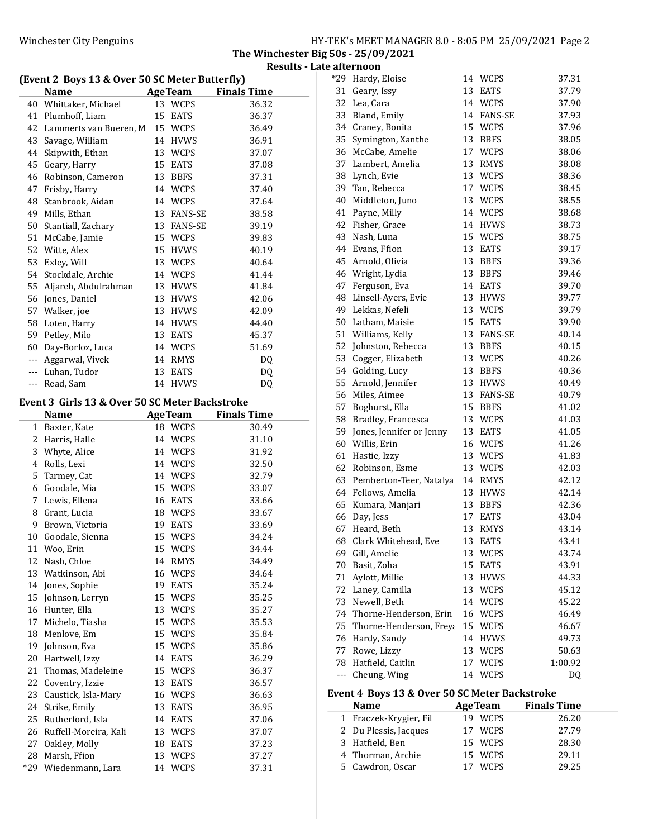The Winchester Big 50s - 25/09/2021 Results - Late afternoon

|     | (Event 2 Boys 13 & Over 50 SC Meter Butterfly) |    |                | ulto               |
|-----|------------------------------------------------|----|----------------|--------------------|
|     | <b>Name</b>                                    |    | <b>AgeTeam</b> | <b>Finals Time</b> |
|     | 40 Whittaker, Michael                          |    | 13 WCPS        | 36.32              |
|     | 41 Plumhoff, Liam                              | 15 | EATS           | 36.37              |
|     | 42 Lammerts van Bueren. M                      |    | 15 WCPS        | 36.49              |
| 43  | Savage, William                                |    | 14 HVWS        | 36.91              |
|     | 44 Skipwith, Ethan                             |    | 13 WCPS        | 37.07              |
|     | 45 Geary, Harry                                |    | 15 EATS        | 37.08              |
|     | 46 Robinson, Cameron                           |    | 13 BBFS        | 37.31              |
|     |                                                |    | 14 WCPS        |                    |
|     | 47 Frisby, Harry                               |    |                | 37.40              |
|     | 48 Stanbrook, Aidan<br>49 Mills. Ethan         |    | 14 WCPS        | 37.64              |
|     |                                                |    | 13 FANS-SE     | 38.58              |
|     | 50 Stantiall, Zachary                          |    | 13 FANS-SE     | 39.19              |
|     | 51 McCabe, Jamie                               |    | 15 WCPS        | 39.83              |
|     | 52 Witte, Alex                                 |    | 15 HVWS        | 40.19              |
| 53  | Exley, Will                                    |    | 13 WCPS        | 40.64              |
|     | 54 Stockdale, Archie                           |    | 14 WCPS        | 41.44              |
|     | 55 Aljareh, Abdulrahman                        |    | 13 HVWS        | 41.84              |
|     | 56 Jones, Daniel                               |    | 13 HVWS        | 42.06              |
|     | 57 Walker, joe                                 |    | 13 HVWS        | 42.09              |
|     | 58 Loten, Harry                                |    | 14 HVWS        | 44.40              |
|     | 59 Petley, Milo                                |    | 13 EATS        | 45.37              |
|     | 60 Day-Borloz, Luca                            |    | 14 WCPS        | 51.69              |
|     | --- Aggarwal, Vivek                            |    | 14 RMYS        | DQ                 |
|     | --- Luhan, Tudor                               | 13 | EATS           | DQ                 |
|     | --- Read, Sam                                  |    | 14 HVWS        | DQ                 |
|     | Event 3 Girls 13 & Over 50 SC Meter Backstroke |    |                |                    |
|     | <b>Name</b>                                    |    | <b>AgeTeam</b> | <b>Finals Time</b> |
|     | 1 Baxter, Kate                                 |    | 18 WCPS        | 30.49              |
|     | 2 Harris, Halle                                |    | 14 WCPS        | 31.10              |
| 3   | Whyte, Alice                                   |    | 14 WCPS        | 31.92              |
|     | 4 Rolls, Lexi                                  |    | 14 WCPS        | 32.50              |
|     | 5 Tarmey, Cat                                  |    | 14 WCPS        | 32.79              |
|     | 6 Goodale, Mia                                 |    | 15 WCPS        | 33.07              |
|     | 7 Lewis, Ellena                                |    | 16 EATS        | 33.66              |
|     | 8 Grant, Lucia                                 |    | 18 WCPS        | 33.67              |
| 9   | Brown, Victoria                                |    | 19 EATS        | 33.69              |
| 10  | Goodale, Sienna                                | 15 | <b>WCPS</b>    | 34.24              |
| 11  | Woo, Erin                                      | 15 | WCPS           | 34.44              |
| 12  | Nash, Chloe                                    | 14 | RMYS           | 34.49              |
| 13  | Watkinson, Abi                                 |    | 16 WCPS        | 34.64              |
| 14  | Jones, Sophie                                  | 19 | EATS           | 35.24              |
| 15  | Johnson, Lerryn                                | 15 | <b>WCPS</b>    | 35.25              |
|     | 16 Hunter, Ella                                | 13 | <b>WCPS</b>    | 35.27              |
| 17  | Michelo, Tiasha                                |    | 15 WCPS        | 35.53              |
|     | 18 Menlove, Em                                 |    | 15 WCPS        | 35.84              |
| 19  | Johnson, Eva                                   |    | 15 WCPS        | 35.86              |
| 20  | Hartwell, Izzy                                 | 14 | EATS           | 36.29              |
| 21  | Thomas, Madeleine                              | 15 | WCPS           | 36.37              |
| 22  | Coventry, Izzie                                | 13 | EATS           | 36.57              |
| 23  | Caustick, Isla-Mary                            |    | 16 WCPS        | 36.63              |
| 24  | Strike, Emily                                  | 13 | EATS           | 36.95              |
| 25  | Rutherford, Isla                               | 14 |                |                    |
|     |                                                |    | EATS           | 37.06              |
| 26  | Ruffell-Moreira, Kali                          | 13 | <b>WCPS</b>    | 37.07              |
| 27  | Oakley, Molly                                  | 18 | EATS           | 37.23              |
| 28  | Marsh, Ffion                                   | 13 | <b>WCPS</b>    | 37.27              |
| *29 | Wiedenmann, Lara                               |    | 14 WCPS        | 37.31              |

|     | *29 Hardy, Eloise        |    | 14 WCPS     | 37.31   |
|-----|--------------------------|----|-------------|---------|
|     | 31 Geary, Issy           |    | 13 EATS     | 37.79   |
|     | 32 Lea, Cara             |    | 14 WCPS     | 37.90   |
|     | 33 Bland, Emily          |    | 14 FANS-SE  | 37.93   |
|     | 34 Craney, Bonita        |    | 15 WCPS     | 37.96   |
| 35  | Symington, Xanthe        |    | 13 BBFS     | 38.05   |
| 36  | McCabe, Amelie           |    | 17 WCPS     | 38.06   |
| 37  | Lambert, Amelia          |    | 13 RMYS     | 38.08   |
| 38  | Lynch, Evie              |    | 13 WCPS     | 38.36   |
| 39  | Tan, Rebecca             |    | 17 WCPS     | 38.45   |
| 40  | Middleton, Juno          |    | 13 WCPS     | 38.55   |
| 41  | Payne, Milly             |    | 14 WCPS     | 38.68   |
|     | 42 Fisher, Grace         |    | 14 HVWS     | 38.73   |
|     | 43 Nash, Luna            |    | 15 WCPS     | 38.75   |
|     | 44 Evans, Ffion          |    | 13 EATS     | 39.17   |
|     | 45 Arnold, Olivia        |    | 13 BBFS     | 39.36   |
|     | 46 Wright, Lydia         |    | 13 BBFS     | 39.46   |
| 47  | Ferguson, Eva            |    | 14 EATS     | 39.70   |
| 48  | Linsell-Ayers, Evie      |    | 13 HVWS     | 39.77   |
| 49  | Lekkas, Nefeli           |    | 13 WCPS     | 39.79   |
|     | 50 Latham, Maisie        |    | 15 EATS     | 39.90   |
| 51  | Williams, Kelly          |    | 13 FANS-SE  | 40.14   |
|     | 52 Johnston, Rebecca     |    | 13 BBFS     | 40.15   |
| 53  | Cogger, Elizabeth        |    | 13 WCPS     | 40.26   |
| 54  | Golding, Lucy            |    | 13 BBFS     | 40.36   |
| 55  | Arnold, Jennifer         |    | 13 HVWS     | 40.49   |
|     | 56 Miles, Aimee          |    | 13 FANS-SE  | 40.79   |
|     | 57 Boghurst, Ella        |    | 15 BBFS     | 41.02   |
|     | 58 Bradley, Francesca    |    | 13 WCPS     | 41.03   |
| 59  | Jones, Jennifer or Jenny |    | 13 EATS     | 41.05   |
|     | 60 Willis, Erin          |    | 16 WCPS     | 41.26   |
| 61  | Hastie, Izzy             |    | 13 WCPS     | 41.83   |
| 62  | Robinson, Esme           |    | 13 WCPS     | 42.03   |
| 63  | Pemberton-Teer, Natalya  |    | 14 RMYS     | 42.12   |
|     | 64 Fellows, Amelia       |    | 13 HVWS     | 42.14   |
|     | 65 Kumara, Manjari       |    | 13 BBFS     | 42.36   |
|     | 66 Day, Jess             |    | 17 EATS     | 43.04   |
| 67  | Heard, Beth              |    | 13 RMYS     | 43.14   |
| 68  | Clark Whitehead, Eve     | 13 | <b>EATS</b> | 43.41   |
| 69  | Gill, Amelie             |    | 13 WCPS     | 43.74   |
| 70  | Basit, Zoha              | 15 | <b>EATS</b> | 43.91   |
| 71  | Aylott, Millie           | 13 | <b>HVWS</b> | 44.33   |
| 72  | Laney, Camilla           | 13 | <b>WCPS</b> | 45.12   |
| 73  | Newell, Beth             | 14 | WCPS        | 45.22   |
| 74  | Thorne-Henderson, Erin   | 16 | WCPS        | 46.49   |
| 75  | Thorne-Henderson, Freya  | 15 | <b>WCPS</b> | 46.67   |
| 76  | Hardy, Sandy             | 14 | <b>HVWS</b> | 49.73   |
| 77  | Rowe, Lizzy              |    | 13 WCPS     | 50.63   |
| 78  | Hatfield, Caitlin        |    | 17 WCPS     | 1:00.92 |
| --- | Cheung, Wing             | 14 | <b>WCPS</b> | DQ      |
|     |                          |    |             |         |

# Event 4 Boys 13 & Over 50 SC Meter Backstroke

| <b>Name</b>            | <b>AgeTeam</b>    | <b>Finals Time</b> |
|------------------------|-------------------|--------------------|
| 1 Fraczek-Krygier, Fil | <b>WCPS</b><br>19 | 26.20              |
| 2 Du Plessis, Jacques  | 17 WCPS           | 27.79              |
| 3 Hatfield, Ben        | 15 WCPS           | 28.30              |
| 4 Thorman, Archie      | 15 WCPS           | 29.11              |
| 5 Cawdron, Oscar       | <b>WCPS</b><br>17 | 29.25              |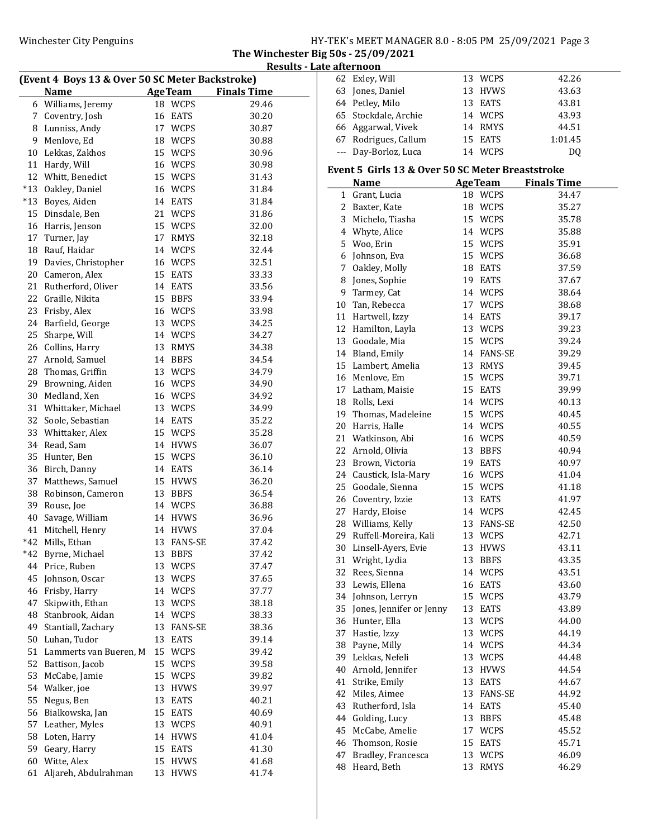The Winchester Big 50s - 25/09/2021 Results - Late afternoon

| (Event 4 Boys 13 & Over 50 SC Meter Backstroke) |                        |    |                |                    |  |
|-------------------------------------------------|------------------------|----|----------------|--------------------|--|
|                                                 | <b>Name</b>            |    | <b>AgeTeam</b> | <b>Finals Time</b> |  |
|                                                 | 6 Williams, Jeremy     |    | 18 WCPS        | 29.46              |  |
| 7                                               | Coventry, Josh         | 16 | EATS           | 30.20              |  |
| 8                                               | Lunniss, Andy          |    | 17 WCPS        | 30.87              |  |
| 9                                               | Menlove, Ed            |    | 18 WCPS        | 30.88              |  |
| 10                                              | Lekkas, Zakhos         |    | 15 WCPS        | 30.96              |  |
| 11                                              | Hardy, Will            |    | 16 WCPS        | 30.98              |  |
| 12                                              | Whitt, Benedict        |    | 15 WCPS        | 31.43              |  |
| $*13$                                           | Oakley, Daniel         |    | 16 WCPS        | 31.84              |  |
| $*13$                                           | Boyes, Aiden           |    | 14 EATS        | 31.84              |  |
| 15                                              | Dinsdale, Ben          |    | 21 WCPS        | 31.86              |  |
| 16                                              | Harris, Jenson         |    | 15 WCPS        | 32.00              |  |
| 17                                              | Turner, Jay            |    | 17 RMYS        | 32.18              |  |
| 18                                              | Rauf, Haidar           |    | 14 WCPS        | 32.44              |  |
| 19                                              |                        |    |                |                    |  |
|                                                 | Davies, Christopher    |    | 16 WCPS        | 32.51              |  |
| 20                                              | Cameron, Alex          |    | 15 EATS        | 33.33              |  |
| 21                                              | Rutherford, Oliver     |    | 14 EATS        | 33.56              |  |
| 22                                              | Graille, Nikita        |    | 15 BBFS        | 33.94              |  |
| 23                                              | Frisby, Alex           |    | 16 WCPS        | 33.98              |  |
| 24                                              | Barfield, George       |    | 13 WCPS        | 34.25              |  |
| 25                                              | Sharpe, Will           |    | 14 WCPS        | 34.27              |  |
| 26                                              | Collins, Harry         |    | 13 RMYS        | 34.38              |  |
| 27                                              | Arnold, Samuel         |    | 14 BBFS        | 34.54              |  |
| 28                                              | Thomas, Griffin        |    | 13 WCPS        | 34.79              |  |
| 29                                              | Browning, Aiden        |    | 16 WCPS        | 34.90              |  |
| 30                                              | Medland, Xen           |    | 16 WCPS        | 34.92              |  |
| 31                                              | Whittaker, Michael     |    | 13 WCPS        | 34.99              |  |
| 32                                              | Soole, Sebastian       |    | 14 EATS        | 35.22              |  |
| 33                                              | Whittaker, Alex        |    | 15 WCPS        | 35.28              |  |
| 34                                              | Read, Sam              |    | 14 HVWS        | 36.07              |  |
| 35                                              | Hunter, Ben            |    | 15 WCPS        | 36.10              |  |
| 36                                              | Birch, Danny           |    | 14 EATS        | 36.14              |  |
| 37                                              | Matthews, Samuel       |    | 15 HVWS        | 36.20              |  |
| 38                                              | Robinson, Cameron      |    | 13 BBFS        | 36.54              |  |
| 39                                              | Rouse, Joe             |    | 14 WCPS        | 36.88              |  |
| 40                                              | Savage, William        |    | 14 HVWS        | 36.96              |  |
| 41                                              | Mitchell, Henry        | 14 | <b>HVWS</b>    | 37.04              |  |
| $*42$                                           | Mills, Ethan           | 13 | <b>FANS-SE</b> | 37.42              |  |
| *42                                             | Byrne, Michael         | 13 | <b>BBFS</b>    | 37.42              |  |
| 44                                              | Price, Ruben           | 13 | WCPS           | 37.47              |  |
| 45                                              | Johnson, Oscar         | 13 | <b>WCPS</b>    | 37.65              |  |
| 46                                              | Frisby, Harry          | 14 | <b>WCPS</b>    | 37.77              |  |
| 47                                              | Skipwith, Ethan        | 13 | WCPS           | 38.18              |  |
| 48                                              | Stanbrook, Aidan       | 14 | <b>WCPS</b>    | 38.33              |  |
| 49                                              | Stantiall, Zachary     | 13 | FANS-SE        | 38.36              |  |
| 50                                              | Luhan, Tudor           | 13 | EATS           | 39.14              |  |
| 51                                              | Lammerts van Bueren, M | 15 | <b>WCPS</b>    | 39.42              |  |
| 52                                              | Battison, Jacob        | 15 | <b>WCPS</b>    | 39.58              |  |
| 53                                              | McCabe, Jamie          | 15 | <b>WCPS</b>    | 39.82              |  |
| 54                                              | Walker, joe            | 13 | <b>HVWS</b>    | 39.97              |  |
| 55                                              | Negus, Ben             | 13 | EATS           | 40.21              |  |
| 56                                              | Bialkowska, Jan        | 15 | EATS           | 40.69              |  |
| 57                                              | Leather, Myles         | 13 | WCPS           | 40.91              |  |
| 58                                              | Loten, Harry           | 14 | <b>HVWS</b>    | 41.04              |  |
| 59                                              | Geary, Harry           | 15 | EATS           | 41.30              |  |
| 60                                              | Witte, Alex            | 15 | <b>HVWS</b>    | 41.68              |  |
| 61                                              | Aljareh, Abdulrahman   | 13 | <b>HVWS</b>    | 41.74              |  |

|          | 62 Exley, Will                                   |    | 13 WCPS        | 42.26              |  |
|----------|--------------------------------------------------|----|----------------|--------------------|--|
|          | 63 Jones, Daniel                                 | 13 | <b>HVWS</b>    | 43.63              |  |
|          | 64 Petley, Milo                                  | 13 | <b>EATS</b>    | 43.81              |  |
|          | 65 Stockdale, Archie                             |    | 14 WCPS        | 43.93              |  |
|          | 66 Aggarwal, Vivek                               |    | 14 RMYS        | 44.51              |  |
|          | 67 Rodrigues, Callum                             | 15 | <b>EATS</b>    | 1:01.45            |  |
| $\cdots$ | Day-Borloz, Luca                                 |    | 14 WCPS        | DQ                 |  |
|          |                                                  |    |                |                    |  |
|          | Event 5 Girls 13 & Over 50 SC Meter Breaststroke |    |                |                    |  |
|          | <b>Name</b>                                      | 18 | <b>AgeTeam</b> | <b>Finals Time</b> |  |
| 1        | Grant, Lucia                                     |    | <b>WCPS</b>    | 34.47              |  |
|          | 2 Baxter, Kate                                   | 18 | <b>WCPS</b>    | 35.27              |  |
|          | 3 Michelo, Tiasha                                | 15 | WCPS           | 35.78              |  |
|          | 4 Whyte, Alice                                   | 14 | WCPS           | 35.88              |  |
|          | 5 Woo, Erin                                      | 15 | WCPS           | 35.91              |  |
|          | 6 Johnson, Eva                                   | 15 | WCPS           | 36.68              |  |
|          | 7 Oakley, Molly                                  | 18 | EATS           | 37.59              |  |
| 8        | Jones, Sophie                                    |    | 19 EATS        | 37.67              |  |
|          | 9 Tarmey, Cat                                    |    | 14 WCPS        | 38.64              |  |
|          | 10 Tan, Rebecca                                  | 17 | <b>WCPS</b>    | 38.68              |  |
|          | 11 Hartwell, Izzy                                | 14 | <b>EATS</b>    | 39.17              |  |
|          | 12 Hamilton, Layla                               | 13 | WCPS           | 39.23              |  |
|          | 13 Goodale, Mia                                  | 15 | WCPS           | 39.24              |  |
|          | 14 Bland, Emily                                  |    | 14 FANS-SE     | 39.29              |  |
|          | 15 Lambert, Amelia                               | 13 | RMYS           | 39.45              |  |
|          | 16 Menlove, Em                                   |    | 15 WCPS        | 39.71              |  |
|          | 17 Latham, Maisie                                | 15 | EATS           | 39.99              |  |
|          | 18 Rolls, Lexi                                   |    | 14 WCPS        | 40.13              |  |
|          | 19 Thomas, Madeleine                             | 15 | WCPS           | 40.45              |  |
|          | 20 Harris, Halle                                 |    | 14 WCPS        | 40.55              |  |
|          | 21 Watkinson, Abi                                | 16 | WCPS           | 40.59              |  |
|          | 22 Arnold, Olivia                                | 13 | <b>BBFS</b>    | 40.94              |  |
|          | 23 Brown, Victoria                               | 19 | EATS           | 40.97              |  |
|          | 24 Caustick, Isla-Mary                           | 16 | WCPS           | 41.04              |  |
|          | 25 Goodale, Sienna                               | 15 | <b>WCPS</b>    | 41.18              |  |
|          | 26 Coventry, Izzie                               | 13 | EATS           | 41.97              |  |
|          | 27 Hardy, Eloise                                 |    | 14 WCPS        | 42.45              |  |
|          | 28 Williams, Kelly                               | 13 | FANS-SE        | 42.50              |  |
|          | 29 Ruffell-Moreira, Kali                         |    | 13 WCPS        | 42.71              |  |
|          | 30 Linsell-Ayers, Evie                           |    | 13 HVWS        | 43.11              |  |
|          | 31 Wright, Lydia                                 | 13 | BBFS           | 43.35              |  |
|          | 32 Rees, Sienna                                  |    | 14 WCPS        | 43.51              |  |
|          | 33 Lewis, Ellena                                 | 16 | EATS           | 43.60              |  |
|          | 34 Johnson, Lerryn                               | 15 | <b>WCPS</b>    | 43.79              |  |
|          | 35 Jones, Jennifer or Jenny                      | 13 | EATS           | 43.89              |  |
|          | 36 Hunter, Ella                                  | 13 | WCPS           | 44.00              |  |
|          | 37 Hastie, Izzy                                  | 13 | WCPS           | 44.19              |  |
|          | 38 Payne, Milly                                  | 14 | <b>WCPS</b>    | 44.34              |  |
|          | 39 Lekkas, Nefeli                                | 13 | WCPS           | 44.48              |  |
|          | 40 Arnold, Jennifer                              | 13 | <b>HVWS</b>    | 44.54              |  |
| 41       | Strike, Emily                                    | 13 | <b>EATS</b>    | 44.67              |  |
|          | 42 Miles, Aimee                                  | 13 | <b>FANS-SE</b> | 44.92              |  |
|          | 43 Rutherford, Isla                              | 14 | <b>EATS</b>    | 45.40              |  |
|          | 44 Golding, Lucy                                 | 13 | <b>BBFS</b>    | 45.48              |  |
|          | 45 McCabe, Amelie                                | 17 | WCPS           | 45.52              |  |
|          | 46 Thomson, Rosie                                | 15 | EATS           | 45.71              |  |
| 47       | Bradley, Francesca                               | 13 | WCPS           | 46.09              |  |
|          | 48 Heard, Beth                                   | 13 | RMYS           | 46.29              |  |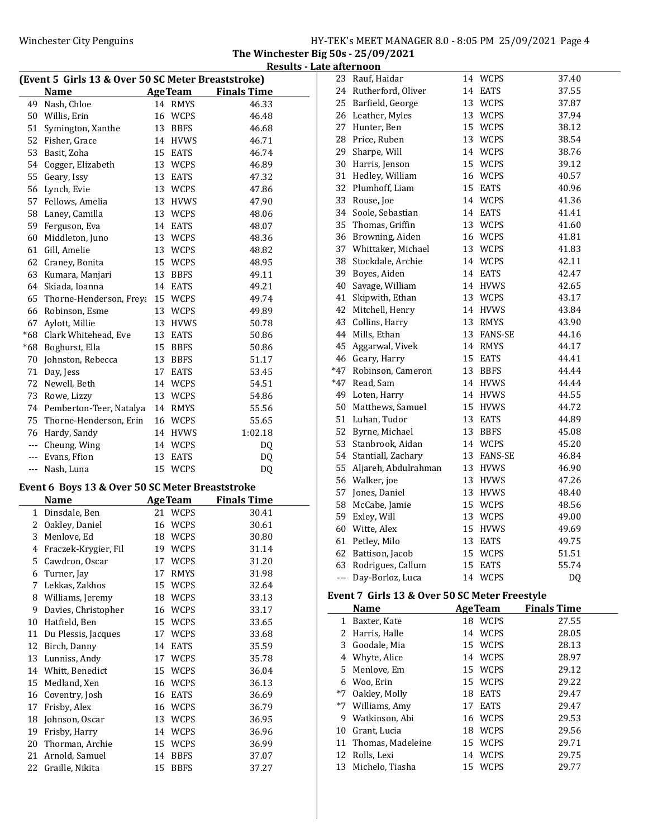The Winchester Big 50s - 25/09/2021 Results - Late afternoon

|                      | (Event 5 Girls 13 & Over 50 SC Meter Breaststroke) |    |                |                    | 23       | Rauf, Haidar                                  |    | 14 WCPS        | 37.40              |
|----------------------|----------------------------------------------------|----|----------------|--------------------|----------|-----------------------------------------------|----|----------------|--------------------|
|                      | <b>Name</b>                                        |    | <b>AgeTeam</b> | <b>Finals Time</b> | 24       | Rutherford, Oliver                            |    | 14 EATS        | 37.55              |
|                      | 49 Nash, Chloe                                     |    | 14 RMYS        | 46.33              | 25       | Barfield, George                              |    | 13 WCPS        | 37.87              |
|                      | 50 Willis, Erin                                    |    | 16 WCPS        | 46.48              | 26       | Leather, Myles                                |    | 13 WCPS        | 37.94              |
| 51                   | Symington, Xanthe                                  |    | 13 BBFS        | 46.68              | 27       | Hunter, Ben                                   |    | 15 WCPS        | 38.12              |
| 52                   | Fisher, Grace                                      |    | 14 HVWS        | 46.71              | 28       | Price, Ruben                                  |    | 13 WCPS        | 38.54              |
| 53                   | Basit, Zoha                                        | 15 | <b>EATS</b>    | 46.74              | 29       | Sharpe, Will                                  |    | 14 WCPS        | 38.76              |
| 54                   | Cogger, Elizabeth                                  | 13 | <b>WCPS</b>    | 46.89              | 30       | Harris, Jenson                                |    | 15 WCPS        | 39.12              |
| 55                   | Geary, Issy                                        | 13 | <b>EATS</b>    | 47.32              | 31       | Hedley, William                               |    | 16 WCPS        | 40.57              |
| 56                   | Lynch, Evie                                        |    | 13 WCPS        | 47.86              | 32       | Plumhoff, Liam                                |    | 15 EATS        | 40.96              |
| 57                   | Fellows, Amelia                                    |    | 13 HVWS        | 47.90              | 33       | Rouse, Joe                                    |    | 14 WCPS        | 41.36              |
| 58                   | Laney, Camilla                                     |    | 13 WCPS        | 48.06              | 34       | Soole, Sebastian                              |    | 14 EATS        | 41.41              |
| 59                   | Ferguson, Eva                                      |    | 14 EATS        | 48.07              | 35       | Thomas, Griffin                               |    | 13 WCPS        | 41.60              |
| 60                   | Middleton, Juno                                    | 13 | <b>WCPS</b>    | 48.36              | 36       | Browning, Aiden                               | 16 | WCPS           | 41.81              |
| 61                   | Gill, Amelie                                       | 13 | <b>WCPS</b>    | 48.82              | 37       | Whittaker, Michael                            |    | 13 WCPS        | 41.83              |
| 62                   | Craney, Bonita                                     | 15 | <b>WCPS</b>    | 48.95              | 38       | Stockdale, Archie                             |    | 14 WCPS        | 42.11              |
| 63                   | Kumara, Manjari                                    | 13 | <b>BBFS</b>    | 49.11              | 39       | Boyes, Aiden                                  | 14 | <b>EATS</b>    | 42.47              |
| 64                   | Skiada, Ioanna                                     |    | 14 EATS        | 49.21              | 40       | Savage, William                               |    | 14 HVWS        | 42.65              |
| 65                   | Thorne-Henderson, Frey: 15 WCPS                    |    |                | 49.74              | 41       | Skipwith, Ethan                               |    | 13 WCPS        | 43.17              |
| 66                   | Robinson, Esme                                     |    | 13 WCPS        | 49.89              | 42       | Mitchell, Henry                               |    | 14 HVWS        | 43.84              |
| 67                   | Aylott, Millie                                     |    | 13 HVWS        | 50.78              | 43       | Collins, Harry                                |    | 13 RMYS        | 43.90              |
| *68                  | Clark Whitehead, Eve                               | 13 | <b>EATS</b>    | 50.86              |          | 44 Mills, Ethan                               |    | 13 FANS-SE     | 44.16              |
| *68                  | Boghurst, Ella                                     |    | 15 BBFS        | 50.86              | 45       | Aggarwal, Vivek                               |    | 14 RMYS        | 44.17              |
| 70                   | Johnston, Rebecca                                  | 13 | <b>BBFS</b>    | 51.17              | 46       | Geary, Harry                                  |    | 15 EATS        | 44.41              |
| 71                   | Day, Jess                                          | 17 | <b>EATS</b>    | 53.45              | $*47$    | Robinson, Cameron                             |    | 13 BBFS        | 44.44              |
| 72                   | Newell, Beth                                       |    | 14 WCPS        | 54.51              | $*47$    | Read, Sam                                     |    | 14 HVWS        | 44.44              |
| 73                   | Rowe, Lizzy                                        |    | 13 WCPS        | 54.86              | 49       | Loten, Harry                                  |    | 14 HVWS        | 44.55              |
| 74                   | Pemberton-Teer, Natalya                            |    | 14 RMYS        | 55.56              | 50       | Matthews, Samuel                              |    | 15 HVWS        | 44.72              |
| 75                   | Thorne-Henderson, Erin                             |    | 16 WCPS        | 55.65              | 51       | Luhan, Tudor                                  |    | 13 EATS        | 44.89              |
| 76                   | Hardy, Sandy                                       |    | 14 HVWS        | 1:02.18            | 52       | Byrne, Michael                                | 13 | <b>BBFS</b>    | 45.08              |
| $--$                 | Cheung, Wing                                       |    | 14 WCPS        | DQ                 | 53       | Stanbrook, Aidan                              |    | 14 WCPS        | 45.20              |
| $---$                | Evans, Ffion                                       | 13 | <b>EATS</b>    | <b>DQ</b>          | 54       | Stantiall, Zachary                            |    | 13 FANS-SE     | 46.84              |
| $\sim$ $\sim$ $\sim$ | Nash, Luna                                         |    | 15 WCPS        | <b>DQ</b>          | 55       | Aljareh, Abdulrahman                          |    | 13 HVWS        | 46.90              |
|                      |                                                    |    |                |                    | 56       | Walker, joe                                   |    | 13 HVWS        | 47.26              |
|                      | Event 6 Boys 13 & Over 50 SC Meter Breaststroke    |    |                |                    | 57       | Jones, Daniel                                 |    | 13 HVWS        | 48.40              |
|                      | <b>Name</b>                                        |    | <b>AgeTeam</b> | <b>Finals Time</b> | 58       | McCabe, Jamie                                 |    | 15 WCPS        | 48.56              |
|                      | 1 Dinsdale, Ben                                    |    | 21 WCPS        | 30.41              | 59       | Exley, Will                                   |    | 13 WCPS        | 49.00              |
| 2                    | Oakley, Daniel                                     |    | 16 WCPS        | 30.61              | 60       | Witte, Alex                                   | 15 | <b>HVWS</b>    | 49.69              |
| 3                    | Menlove, Ed                                        |    | 18 WCPS        | 30.80              |          | 61 Petley, Milo                               |    | 13 EATS        | 49.75              |
| 4                    | Fraczek-Krygier, Fil                               | 19 | WCPS           | 31.14              |          | 62 Battison, Jacob                            |    | 15 WCPS        | 51.51              |
| 5                    | Cawdron, Oscar                                     |    | 17 WCPS        | 31.20              | 63       | Rodrigues, Callum                             |    | 15 EATS        | 55.74              |
| 6                    | Turner, Jay                                        |    | 17 RMYS        | 31.98              | $\cdots$ | Day-Borloz, Luca                              |    | 14 WCPS        | DQ                 |
| 7                    | Lekkas, Zakhos                                     | 15 | WCPS           | 32.64              |          |                                               |    |                |                    |
| 8                    | Williams, Jeremy                                   | 18 | <b>WCPS</b>    | 33.13              |          | Event 7 Girls 13 & Over 50 SC Meter Freestyle |    |                |                    |
| 9                    | Davies, Christopher                                |    | 16 WCPS        | 33.17              |          | <b>Name</b>                                   |    | <b>AgeTeam</b> | <b>Finals Time</b> |
| 10                   | Hatfield, Ben                                      | 15 | <b>WCPS</b>    | 33.65              |          | 1 Baxter, Kate                                |    | 18 WCPS        | 27.55              |
| 11                   | Du Plessis, Jacques                                |    | 17 WCPS        | 33.68              |          | 2 Harris, Halle                               |    | 14 WCPS        | 28.05              |
| 12                   | Birch, Danny                                       |    | 14 EATS        | 35.59              | 3        | Goodale, Mia                                  |    | 15 WCPS        | 28.13              |
| 13                   | Lunniss, Andy                                      |    | 17 WCPS        | 35.78              | 4        | Whyte, Alice                                  |    | 14 WCPS        | 28.97              |
| 14                   | Whitt, Benedict                                    |    | 15 WCPS        | 36.04              | 5        | Menlove, Em                                   |    | 15 WCPS        | 29.12              |
| 15                   | Medland, Xen                                       |    | 16 WCPS        | 36.13              | 6        | Woo, Erin                                     |    | 15 WCPS        | 29.22              |
| 16                   | Coventry, Josh                                     |    | 16 EATS        | 36.69              | *7       | Oakley, Molly                                 |    | 18 EATS        | 29.47              |
| 17                   | Frisby, Alex                                       |    | 16 WCPS        | 36.79              |          | *7 Williams, Amy                              |    | 17 EATS        | 29.47              |
| 18                   | Johnson, Oscar                                     |    | 13 WCPS        | 36.95              | 9        | Watkinson, Abi                                |    | 16 WCPS        | 29.53              |
| 19                   | Frisby, Harry                                      |    | 14 WCPS        | 36.96              | 10       | Grant, Lucia                                  |    | 18 WCPS        | 29.56              |
| 20                   | Thorman, Archie                                    |    | 15 WCPS        | 36.99              | 11       | Thomas, Madeleine                             |    | 15 WCPS        | 29.71              |
| 21                   | Arnold, Samuel                                     | 14 | <b>BBFS</b>    | 37.07              | 12       | Rolls, Lexi                                   |    | 14 WCPS        | 29.75              |
| 22                   | Graille, Nikita                                    |    | 15 BBFS        | 37.27              | 13       | Michelo, Tiasha                               |    | 15 WCPS        | 29.77              |
|                      |                                                    |    |                |                    |          |                                               |    |                |                    |

|       | 26 Leather, Myles    | 13 | WCPS           | 37.94 |
|-------|----------------------|----|----------------|-------|
| 27    | Hunter, Ben          | 15 | <b>WCPS</b>    | 38.12 |
| 28    | Price, Ruben         | 13 | <b>WCPS</b>    | 38.54 |
| 29    | Sharpe, Will         | 14 | <b>WCPS</b>    | 38.76 |
| 30    | Harris, Jenson       | 15 | <b>WCPS</b>    | 39.12 |
| 31    | Hedley, William      | 16 | <b>WCPS</b>    | 40.57 |
| 32    | Plumhoff, Liam       | 15 | <b>EATS</b>    | 40.96 |
| 33    | Rouse, Joe           | 14 | <b>WCPS</b>    | 41.36 |
| 34    | Soole, Sebastian     | 14 | EATS           | 41.41 |
| 35    | Thomas, Griffin      | 13 | <b>WCPS</b>    | 41.60 |
| 36    | Browning, Aiden      | 16 | <b>WCPS</b>    | 41.81 |
| 37    | Whittaker, Michael   | 13 | <b>WCPS</b>    | 41.83 |
| 38    | Stockdale, Archie    | 14 | <b>WCPS</b>    | 42.11 |
| 39    | Boyes, Aiden         | 14 | <b>EATS</b>    | 42.47 |
| 40    | Savage, William      | 14 | <b>HVWS</b>    | 42.65 |
| 41    | Skipwith, Ethan      | 13 | <b>WCPS</b>    | 43.17 |
| 42    | Mitchell, Henry      | 14 | <b>HVWS</b>    | 43.84 |
|       | 43 Collins, Harry    | 13 | <b>RMYS</b>    | 43.90 |
| 44    | Mills, Ethan         | 13 | <b>FANS-SE</b> | 44.16 |
| 45    | Aggarwal, Vivek      | 14 | <b>RMYS</b>    | 44.17 |
|       | 46 Geary, Harry      | 15 | EATS           | 44.41 |
| $*47$ | Robinson, Cameron    | 13 | <b>BBFS</b>    | 44.44 |
| *47   | Read, Sam            | 14 | <b>HVWS</b>    | 44.44 |
| 49    | Loten, Harry         | 14 | <b>HVWS</b>    | 44.55 |
| 50    | Matthews, Samuel     | 15 | <b>HVWS</b>    | 44.72 |
|       | 51 Luhan, Tudor      | 13 | <b>EATS</b>    | 44.89 |
| 52    | Byrne, Michael       | 13 | <b>BBFS</b>    | 45.08 |
| 53    | Stanbrook, Aidan     | 14 | <b>WCPS</b>    | 45.20 |
| 54    | Stantiall, Zachary   | 13 | <b>FANS-SE</b> | 46.84 |
| 55    | Aljareh, Abdulrahman | 13 | <b>HVWS</b>    | 46.90 |
| 56    | Walker, joe          | 13 | <b>HVWS</b>    | 47.26 |
| 57    | Jones, Daniel        | 13 | <b>HVWS</b>    | 48.40 |
| 58    | McCabe, Jamie        | 15 | <b>WCPS</b>    | 48.56 |
| 59    | Exley, Will          | 13 | <b>WCPS</b>    | 49.00 |
| 60    | Witte, Alex          | 15 | <b>HVWS</b>    | 49.69 |
| 61    | Petley, Milo         | 13 | <b>EATS</b>    | 49.75 |
| 62    | Battison, Jacob      | 15 | <b>WCPS</b>    | 51.51 |
| 63    | Rodrigues, Callum    | 15 | <b>EATS</b>    | 55.74 |
| $---$ | Day-Borloz, Luca     | 14 | <b>WCPS</b>    | DQ    |
|       |                      |    |                |       |

### **SC Meter Freestyle**

|      | <b>Name</b>          |    | <b>AgeTeam</b> | <b>Finals Time</b> |  |
|------|----------------------|----|----------------|--------------------|--|
| 1    | Baxter, Kate         |    | 18 WCPS        | 27.55              |  |
| 2    | Harris, Halle        |    | 14 WCPS        | 28.05              |  |
| 3    | Goodale, Mia         |    | 15 WCPS        | 28.13              |  |
| 4    | Whyte, Alice         |    | 14 WCPS        | 28.97              |  |
|      | 5 Menlove, Em        |    | 15 WCPS        | 29.12              |  |
|      | 6 Woo, Erin          |    | 15 WCPS        | 29.22              |  |
| *7   | Oakley, Molly        | 18 | EATS           | 29.47              |  |
| $*7$ | Williams, Amy        | 17 | <b>EATS</b>    | 29.47              |  |
| 9    | Watkinson, Abi       |    | 16 WCPS        | 29.53              |  |
| 10   | Grant, Lucia         |    | 18 WCPS        | 29.56              |  |
|      | 11 Thomas, Madeleine |    | 15 WCPS        | 29.71              |  |
| 12   | Rolls, Lexi          | 14 | WCPS           | 29.75              |  |
| 13   | Michelo, Tiasha      |    | 15 WCPS        | 29.77              |  |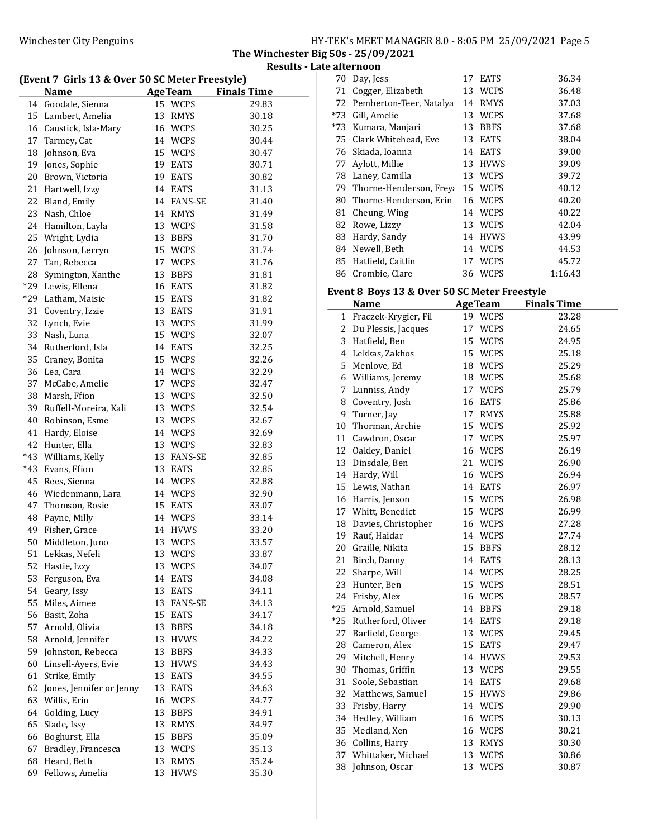The Winchester Big 50s - 25/09/2021 Results - Late afternoon

| (Event 7 Girls 13 & Over 50 SC Meter Freestyle) |                          |                    |                    |  |  |
|-------------------------------------------------|--------------------------|--------------------|--------------------|--|--|
|                                                 | <b>Name</b>              | <b>AgeTeam</b>     | <b>Finals Time</b> |  |  |
| 14                                              | Goodale, Sienna          | 15 WCPS            | 29.83              |  |  |
| 15                                              | Lambert, Amelia          | 13<br>RMYS         | 30.18              |  |  |
|                                                 | 16 Caustick, Isla-Mary   | 16 WCPS            | 30.25              |  |  |
| 17                                              | Tarmey, Cat              | 14 WCPS            | 30.44              |  |  |
| 18                                              | Johnson, Eva             | 15 WCPS            | 30.47              |  |  |
| 19                                              | Jones, Sophie            | 19 EATS            | 30.71              |  |  |
| 20                                              | Brown, Victoria          | 19 EATS            | 30.82              |  |  |
| 21                                              | Hartwell, Izzy           | 14 EATS            | 31.13              |  |  |
| 22                                              | Bland, Emily             | 14 FANS-SE         | 31.40              |  |  |
| 23                                              | Nash, Chloe              | 14 RMYS            | 31.49              |  |  |
| 24                                              | Hamilton, Layla          | 13 WCPS            | 31.58              |  |  |
| 25                                              | Wright, Lydia            | 13 BBFS            | 31.70              |  |  |
| 26                                              | Johnson, Lerryn          | 15 WCPS            | 31.74              |  |  |
| 27                                              | Tan, Rebecca             | 17 WCPS            | 31.76              |  |  |
| 28                                              |                          |                    |                    |  |  |
|                                                 | Symington, Xanthe        | 13 BBFS<br>16 EATS | 31.81              |  |  |
| $*29$                                           | Lewis, Ellena            |                    | 31.82              |  |  |
| $*29$                                           | Latham, Maisie           | 15 EATS            | 31.82              |  |  |
| 31                                              | Coventry, Izzie          | 13 EATS            | 31.91              |  |  |
| 32                                              | Lynch, Evie              | 13 WCPS            | 31.99              |  |  |
| 33                                              | Nash, Luna               | 15 WCPS            | 32.07              |  |  |
| 34                                              | Rutherford, Isla         | 14 EATS            | 32.25              |  |  |
| 35                                              | Craney, Bonita           | 15 WCPS            | 32.26              |  |  |
| 36                                              | Lea, Cara                | 14 WCPS            | 32.29              |  |  |
| 37                                              | McCabe, Amelie           | 17 WCPS            | 32.47              |  |  |
| 38                                              | Marsh, Ffion             | 13 WCPS            | 32.50              |  |  |
| 39                                              | Ruffell-Moreira, Kali    | 13 WCPS            | 32.54              |  |  |
| 40                                              | Robinson, Esme           | 13 WCPS            | 32.67              |  |  |
| 41                                              | Hardy, Eloise            | 14 WCPS            | 32.69              |  |  |
| 42                                              | Hunter, Ella             | 13 WCPS            | 32.83              |  |  |
| $*43$                                           | Williams, Kelly          | 13 FANS-SE         | 32.85              |  |  |
| $*43$                                           | Evans, Ffion             | 13 EATS            | 32.85              |  |  |
| 45                                              | Rees, Sienna             | 14 WCPS            | 32.88              |  |  |
| 46                                              | Wiedenmann, Lara         | 14 WCPS            | 32.90              |  |  |
| 47                                              | Thomson, Rosie           | 15 EATS            | 33.07              |  |  |
| 48                                              | Payne, Milly             | 14 WCPS            | 33.14              |  |  |
| 49                                              | Fisher, Grace            | <b>HVWS</b><br>14  | 33.20              |  |  |
| 50                                              | Middleton, Juno          | 13<br><b>WCPS</b>  | 33.57              |  |  |
| 51                                              | Lekkas, Nefeli           | <b>WCPS</b><br>13  | 33.87              |  |  |
| 52                                              | Hastie, Izzy             | 13<br>WCPS         | 34.07              |  |  |
| 53                                              | Ferguson, Eva            | 14<br>EATS         | 34.08              |  |  |
| 54                                              | Geary, Issy              | 13 EATS            | 34.11              |  |  |
| 55                                              | Miles, Aimee             | 13 FANS-SE         | 34.13              |  |  |
| 56                                              | Basit, Zoha              | 15<br>EATS         | 34.17              |  |  |
| 57                                              | Arnold, Olivia           | 13<br><b>BBFS</b>  | 34.18              |  |  |
| 58                                              | Arnold, Jennifer         | 13<br><b>HVWS</b>  | 34.22              |  |  |
| 59                                              | Johnston, Rebecca        | 13<br><b>BBFS</b>  | 34.33              |  |  |
| 60                                              | Linsell-Ayers, Evie      | 13<br><b>HVWS</b>  | 34.43              |  |  |
| 61                                              | Strike, Emily            | 13<br><b>EATS</b>  | 34.55              |  |  |
| 62                                              | Jones, Jennifer or Jenny | 13<br>EATS         | 34.63              |  |  |
| 63                                              | Willis, Erin             | 16<br><b>WCPS</b>  | 34.77              |  |  |
| 64                                              | Golding, Lucy            | 13<br><b>BBFS</b>  | 34.91              |  |  |
| 65                                              | Slade, Issy              | 13<br>RMYS         | 34.97              |  |  |
| 66                                              | Boghurst, Ella           | 15<br><b>BBFS</b>  | 35.09              |  |  |
| 67                                              | Bradley, Francesca       | 13 WCPS            | 35.13              |  |  |
| 68                                              | Heard, Beth              | 13<br>RMYS         | 35.24              |  |  |
| 69                                              | Fellows, Amelia          | 13<br><b>HVWS</b>  | 35.30              |  |  |

|       | anei hoon               |    |             |         |
|-------|-------------------------|----|-------------|---------|
| 70    | Day, Jess               | 17 | <b>EATS</b> | 36.34   |
| 71    | Cogger, Elizabeth       | 13 | WCPS        | 36.48   |
| 72    | Pemberton-Teer, Natalya | 14 | <b>RMYS</b> | 37.03   |
| $*73$ | Gill, Amelie            | 13 | <b>WCPS</b> | 37.68   |
| *73   | Kumara, Manjari         | 13 | <b>BBFS</b> | 37.68   |
| 75    | Clark Whitehead, Eve    | 13 | <b>EATS</b> | 38.04   |
| 76    | Skiada, Ioanna          | 14 | <b>EATS</b> | 39.00   |
| 77    | Aylott, Millie          | 13 | <b>HVWS</b> | 39.09   |
| 78    | Laney, Camilla          | 13 | <b>WCPS</b> | 39.72   |
| 79.   | Thorne-Henderson, Freya | 15 | WCPS        | 40.12   |
| 80    | Thorne-Henderson, Erin  | 16 | <b>WCPS</b> | 40.20   |
| 81    | Cheung, Wing            |    | 14 WCPS     | 40.22   |
| 82    | Rowe, Lizzy             | 13 | WCPS        | 42.04   |
| 83    | Hardy, Sandy            | 14 | <b>HVWS</b> | 43.99   |
| 84    | Newell, Beth            | 14 | <b>WCPS</b> | 44.53   |
| 85    | Hatfield, Caitlin       | 17 | <b>WCPS</b> | 45.72   |
| 86    | Crombie, Clare          |    | 36 WCPS     | 1:16.43 |

## Event 8 Boys 13 & Over 50 SC Meter Freestyle

| Event of Doys 15 & Over 50 SC Meter Preestyle |                        |    |                |                    |  |  |  |  |
|-----------------------------------------------|------------------------|----|----------------|--------------------|--|--|--|--|
|                                               | <b>Name</b>            |    | <b>AgeTeam</b> | <b>Finals Time</b> |  |  |  |  |
| 1                                             | Fraczek-Krygier, Fil   |    | 19 WCPS        | 23.28              |  |  |  |  |
|                                               | 2 Du Plessis, Jacques  | 17 | <b>WCPS</b>    | 24.65              |  |  |  |  |
| 3                                             | Hatfield, Ben          | 15 | <b>WCPS</b>    | 24.95              |  |  |  |  |
| 4                                             | Lekkas, Zakhos         | 15 | <b>WCPS</b>    | 25.18              |  |  |  |  |
| 5                                             | Menlove, Ed            | 18 | <b>WCPS</b>    | 25.29              |  |  |  |  |
| 6                                             | Williams, Jeremy       |    | 18 WCPS        | 25.68              |  |  |  |  |
| 7                                             | Lunniss, Andy          | 17 | <b>WCPS</b>    | 25.79              |  |  |  |  |
| 8                                             | Coventry, Josh         | 16 | <b>EATS</b>    | 25.86              |  |  |  |  |
| 9                                             | Turner, Jay            | 17 | <b>RMYS</b>    | 25.88              |  |  |  |  |
| 10                                            | Thorman, Archie        | 15 | <b>WCPS</b>    | 25.92              |  |  |  |  |
| 11                                            | Cawdron, Oscar         | 17 | <b>WCPS</b>    | 25.97              |  |  |  |  |
| 12                                            | Oakley, Daniel         | 16 | <b>WCPS</b>    | 26.19              |  |  |  |  |
| 13                                            | Dinsdale, Ben          | 21 | <b>WCPS</b>    | 26.90              |  |  |  |  |
|                                               | 14 Hardy, Will         | 16 | <b>WCPS</b>    | 26.94              |  |  |  |  |
|                                               | 15 Lewis, Nathan       | 14 | <b>EATS</b>    | 26.97              |  |  |  |  |
|                                               | 16 Harris, Jenson      | 15 | <b>WCPS</b>    | 26.98              |  |  |  |  |
|                                               | 17 Whitt, Benedict     | 15 | <b>WCPS</b>    | 26.99              |  |  |  |  |
| 18                                            | Davies, Christopher    | 16 | <b>WCPS</b>    | 27.28              |  |  |  |  |
| 19                                            | Rauf, Haidar           | 14 | <b>WCPS</b>    | 27.74              |  |  |  |  |
| 20                                            | Graille, Nikita        | 15 | <b>BBFS</b>    | 28.12              |  |  |  |  |
| 21                                            | Birch, Danny           | 14 | <b>EATS</b>    | 28.13              |  |  |  |  |
| 22                                            | Sharpe, Will           | 14 | <b>WCPS</b>    | 28.25              |  |  |  |  |
| 23                                            | Hunter, Ben            | 15 | <b>WCPS</b>    | 28.51              |  |  |  |  |
| 24                                            | Frisby, Alex           | 16 | WCPS           | 28.57              |  |  |  |  |
| $*25$                                         | Arnold, Samuel         | 14 | <b>BBFS</b>    | 29.18              |  |  |  |  |
|                                               | *25 Rutherford, Oliver | 14 | <b>EATS</b>    | 29.18              |  |  |  |  |
| 27                                            | Barfield, George       | 13 | <b>WCPS</b>    | 29.45              |  |  |  |  |
| 28                                            | Cameron, Alex          | 15 | <b>EATS</b>    | 29.47              |  |  |  |  |
| 29                                            | Mitchell, Henry        | 14 | <b>HVWS</b>    | 29.53              |  |  |  |  |
| 30                                            | Thomas, Griffin        | 13 | <b>WCPS</b>    | 29.55              |  |  |  |  |
| 31                                            | Soole, Sebastian       | 14 | <b>EATS</b>    | 29.68              |  |  |  |  |
| 32                                            | Matthews, Samuel       | 15 | <b>HVWS</b>    | 29.86              |  |  |  |  |
| 33                                            | Frisby, Harry          |    | 14 WCPS        | 29.90              |  |  |  |  |
| 34                                            | Hedley, William        | 16 | WCPS           | 30.13              |  |  |  |  |
| 35                                            | Medland, Xen           | 16 | <b>WCPS</b>    | 30.21              |  |  |  |  |
| 36                                            | Collins, Harry         | 13 | <b>RMYS</b>    | 30.30              |  |  |  |  |
| 37                                            | Whittaker, Michael     | 13 | <b>WCPS</b>    | 30.86              |  |  |  |  |
| 38                                            | Johnson, Oscar         | 13 | <b>WCPS</b>    | 30.87              |  |  |  |  |
|                                               |                        |    |                |                    |  |  |  |  |